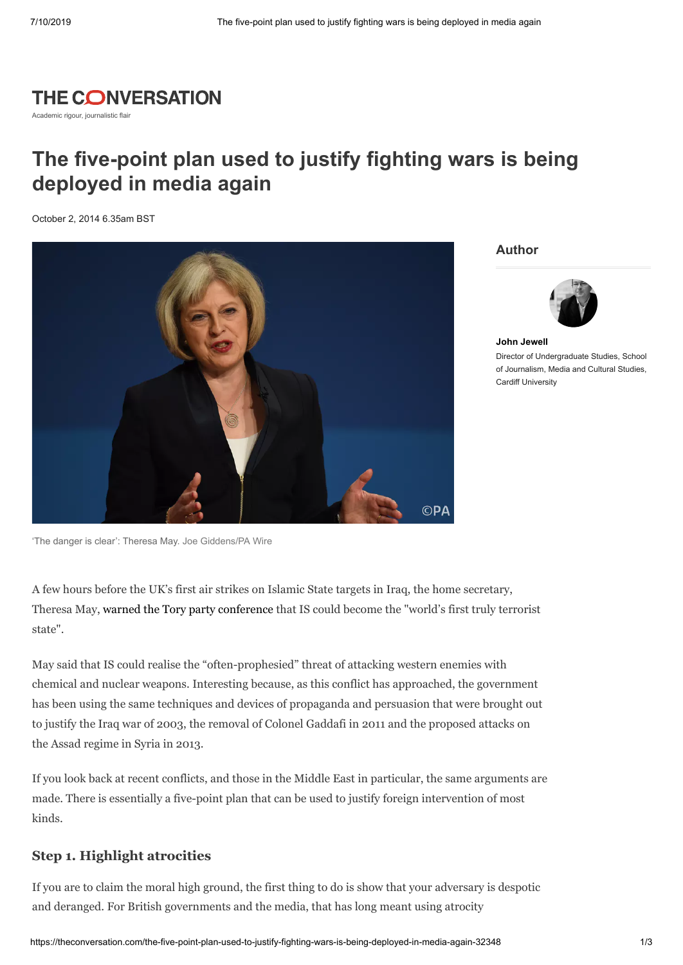

Academic rigour, journalistic flair

# **The five-point plan used to justify fighting wars is being deployed in media again**

October 2, 2014 6.35am BST



**Author**



**John [Jewell](https://theconversation.com/profiles/john-jewell-100660)** Director of Undergraduate Studies, School of Journalism, Media and Cultural Studies, Cardiff University

A few hours before the UK's first air strikes on Islamic State targets in Iraq, the home secretary, Theresa May, warned the Tory party [conference](http://www.independent.co.uk/news/uk/home-news/isis-could-become-worlds-first-truly-terrorist-state-and-bomb-uk-with-nuclear-and-chemical-weapons-theresa-may-warns-9765049.html) that IS could become the "world's first truly terrorist state".

May said that IS could realise the "often-prophesied" threat of attacking western enemies with chemical and nuclear weapons. Interesting because, as this conflict has approached, the government has been using the same techniques and devices of propaganda and persuasion that were brought out to justify the Iraq war of 2003, the removal of Colonel Gaddafi in 2011 and the proposed attacks on the Assad regime in Syria in 2013.

If you look back at recent conflicts, and those in the Middle East in particular, the same arguments are made. There is essentially a five-point plan that can be used to justify foreign intervention of most kinds.

#### **Step 1. Highlight atrocities**

If you are to claim the moral high ground, the first thing to do is show that your adversary is despotic and deranged. For British governments and the media, that has long meant using atrocity

<sup>&#</sup>x27;The danger is clear': Theresa May. [Joe Giddens/PA Wire](http://images.pressassociation.com/meta/2.21060737.html)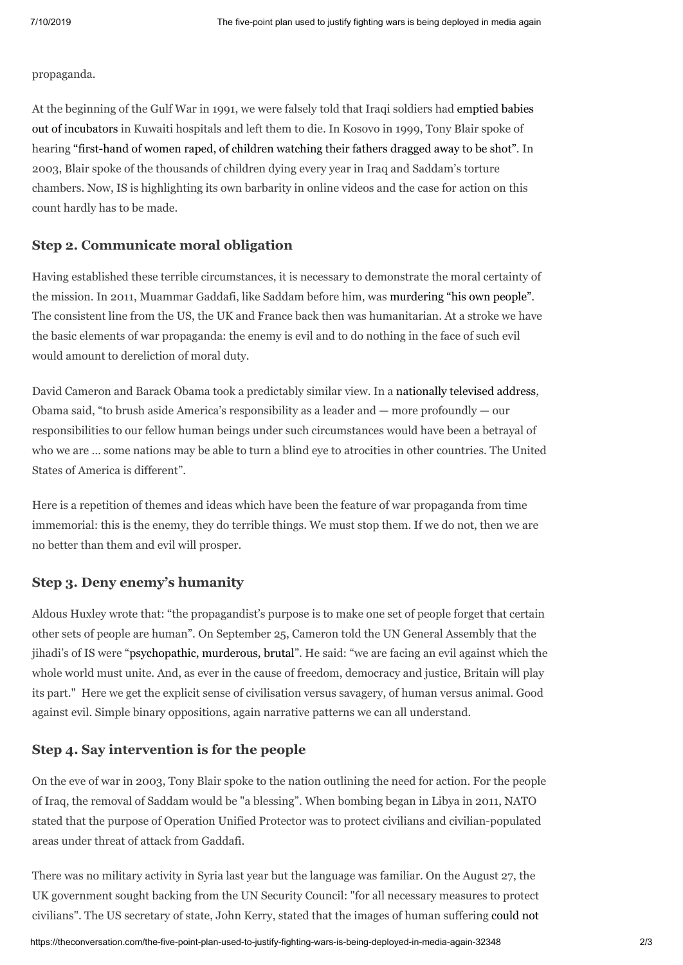propaganda.

At the beginning of the Gulf War in 1991, we were falsely told that Iraqi soldiers had emptied babies out of incubators in [Kuwaiti hospitals](http://www.csmonitor.com/2002/0906/p25s02-cogn.html) and left them to die. In Kosovo in 1999, Tony Blair spoke of hearing ["first-hand](http://news.bbc.co.uk/1/hi/uk_politics/343739.stm) of women raped, of children watching their fathers dragged away to be shot". In 2003, Blair spoke of the thousands of children dying every year in Iraq and Saddam's torture chambers. Now, IS is highlighting its own barbarity in online videos and the case for action on this count hardly has to be made.

### **Step 2. Communicate moral obligation**

Having established these terrible circumstances, it is necessary to demonstrate the moral certainty of the mission. In 2011, Muammar Gaddafi, like Saddam before him, was [murdering](http://www.dailymail.co.uk/news/article-1364365/Libya-protests-We-let-Gaddafi-murder-people-says-Cameron.html) "his own people". The consistent line from the US, the UK and France back then was humanitarian. At a stroke we have the basic elements of war propaganda: the enemy is evil and to do nothing in the face of such evil would amount to dereliction of moral duty.

David Cameron and Barack Obama took a predictably similar view. In a [nationally](http://www.whitehouse.gov/the-press-office/2011/03/28/remarks-president-address-nation-libya) televised address, Obama said, "to brush aside America's responsibility as a leader and  $-$  more profoundly  $-$  our responsibilities to our fellow human beings under such circumstances would have been a betrayal of who we are … some nations may be able to turn a blind eye to atrocities in other countries. The United States of America is different".

Here is a repetition of themes and ideas which have been the feature of war propaganda from time immemorial: this is the enemy, they do terrible things. We must stop them. If we do not, then we are no better than them and evil will prosper.

### **Step 3. Deny enemy's humanity**

Aldous Huxley wrote that: "the propagandist's purpose is to make one set of people forget that certain other sets of people are human". On September 25, Cameron told the UN General Assembly that the jihadi's of IS were "[psychopathic,](http://www.dailymail.co.uk/news/article-2768704/We-deal-psychopathic-murderers-says-Cameron-RAF-prepares-bombing-raids-using-Storm-Shadow-bunker-busters-Brimstone-missiles-Paveway-IV-bombs.html) murderous, brutal". He said: "we are facing an evil against which the whole world must unite. And, as ever in the cause of freedom, democracy and justice, Britain will play its part." Here we get the explicit sense of civilisation versus savagery, of human versus animal. Good against evil. Simple binary oppositions, again narrative patterns we can all understand.

#### **Step 4. Say intervention is for the people**

On the eve of war in 2003, Tony Blair spoke to the nation outlining the need for action. For the people of Iraq, the removal of Saddam would be "a blessing". When bombing began in Libya in 2011, NATO stated that the purpose of Operation Unified Protector was to protect civilians and civilian-populated areas under threat of attack from Gaddafi.

There was no military activity in Syria last year but the language was familiar. On the August 27, the UK government sought backing from the UN Security Council: "for all necessary measures to protect [civilians".](http://www.uspolicy.be/newsletters/foreign-policy-newsletter-august-30-2013) The US secretary of state, John Kerry, stated that the images of human suffering could not